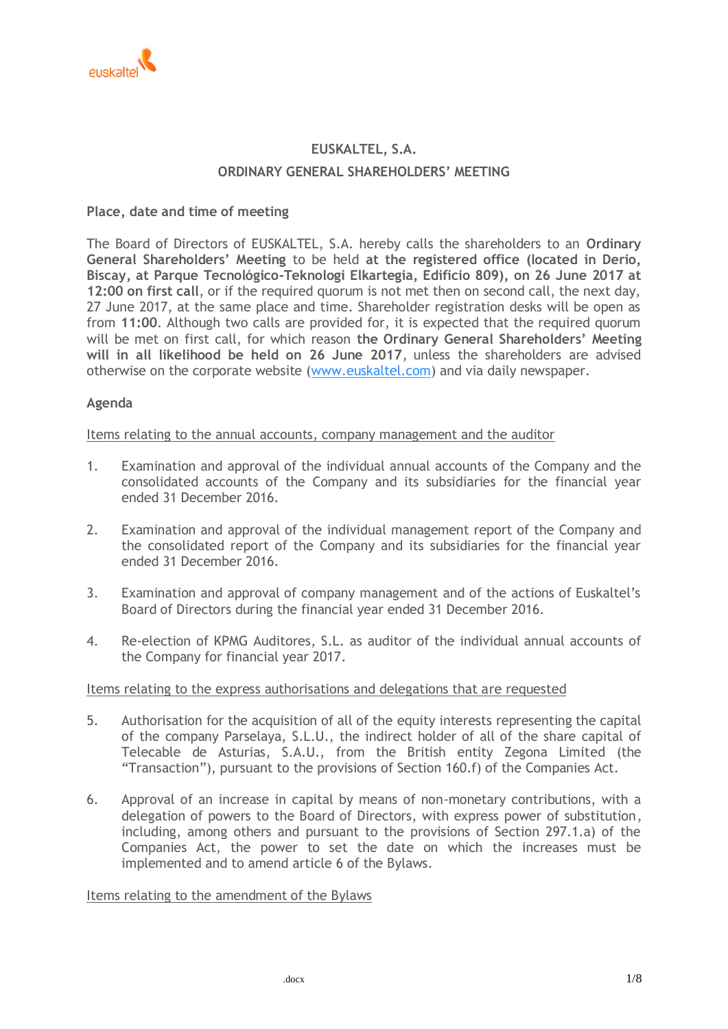

# **EUSKALTEL, S.A. ORDINARY GENERAL SHAREHOLDERS' MEETING**

# **Place, date and time of meeting**

The Board of Directors of EUSKALTEL, S.A. hereby calls the shareholders to an **Ordinary General Shareholders' Meeting** to be held **at the registered office (located in Derio, Biscay, at Parque Tecnológico-Teknologi Elkartegia, Edificio 809), on 26 June 2017 at 12:00 on first call**, or if the required quorum is not met then on second call, the next day, 27 June 2017, at the same place and time. Shareholder registration desks will be open as from **11:00**. Although two calls are provided for, it is expected that the required quorum will be met on first call, for which reason **the Ordinary General Shareholders' Meeting will in all likelihood be held on 26 June 2017**, unless the shareholders are advised otherwise on the corporate website [\(www.euskaltel.com\)](http://www.euskaltel.com/) and via daily newspaper.

## **Agenda**

Items relating to the annual accounts, company management and the auditor

- 1. Examination and approval of the individual annual accounts of the Company and the consolidated accounts of the Company and its subsidiaries for the financial year ended 31 December 2016.
- 2. Examination and approval of the individual management report of the Company and the consolidated report of the Company and its subsidiaries for the financial year ended 31 December 2016.
- 3. Examination and approval of company management and of the actions of Euskaltel's Board of Directors during the financial year ended 31 December 2016.
- 4. Re-election of KPMG Auditores, S.L. as auditor of the individual annual accounts of the Company for financial year 2017.

## Items relating to the express authorisations and delegations that are requested

- 5. Authorisation for the acquisition of all of the equity interests representing the capital of the company Parselaya, S.L.U., the indirect holder of all of the share capital of Telecable de Asturias, S.A.U., from the British entity Zegona Limited (the "Transaction"), pursuant to the provisions of Section 160.f) of the Companies Act.
- 6. Approval of an increase in capital by means of non-monetary contributions, with a delegation of powers to the Board of Directors, with express power of substitution, including, among others and pursuant to the provisions of Section 297.1.a) of the Companies Act, the power to set the date on which the increases must be implemented and to amend article 6 of the Bylaws.

Items relating to the amendment of the Bylaws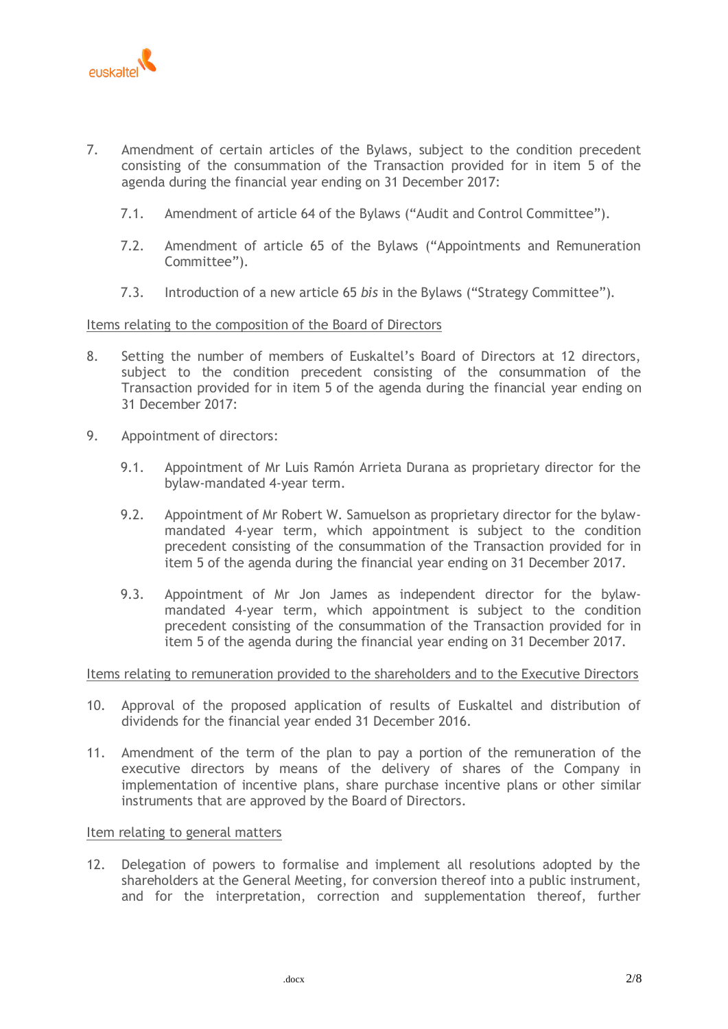

- 7. Amendment of certain articles of the Bylaws, subject to the condition precedent consisting of the consummation of the Transaction provided for in item 5 of the agenda during the financial year ending on 31 December 2017:
	- 7.1. Amendment of article 64 of the Bylaws ("Audit and Control Committee").
	- 7.2. Amendment of article 65 of the Bylaws ("Appointments and Remuneration Committee").
	- 7.3. Introduction of a new article 65 *bis* in the Bylaws ("Strategy Committee").

## Items relating to the composition of the Board of Directors

- 8. Setting the number of members of Euskaltel's Board of Directors at 12 directors, subject to the condition precedent consisting of the consummation of the Transaction provided for in item 5 of the agenda during the financial year ending on 31 December 2017:
- 9. Appointment of directors:
	- 9.1. Appointment of Mr Luis Ramón Arrieta Durana as proprietary director for the bylaw-mandated 4-year term.
	- 9.2. Appointment of Mr Robert W. Samuelson as proprietary director for the bylawmandated 4-year term, which appointment is subject to the condition precedent consisting of the consummation of the Transaction provided for in item 5 of the agenda during the financial year ending on 31 December 2017.
	- 9.3. Appointment of Mr Jon James as independent director for the bylawmandated 4-year term, which appointment is subject to the condition precedent consisting of the consummation of the Transaction provided for in item 5 of the agenda during the financial year ending on 31 December 2017.

## Items relating to remuneration provided to the shareholders and to the Executive Directors

- 10. Approval of the proposed application of results of Euskaltel and distribution of dividends for the financial year ended 31 December 2016.
- 11. Amendment of the term of the plan to pay a portion of the remuneration of the executive directors by means of the delivery of shares of the Company in implementation of incentive plans, share purchase incentive plans or other similar instruments that are approved by the Board of Directors.

## Item relating to general matters

12. Delegation of powers to formalise and implement all resolutions adopted by the shareholders at the General Meeting, for conversion thereof into a public instrument, and for the interpretation, correction and supplementation thereof, further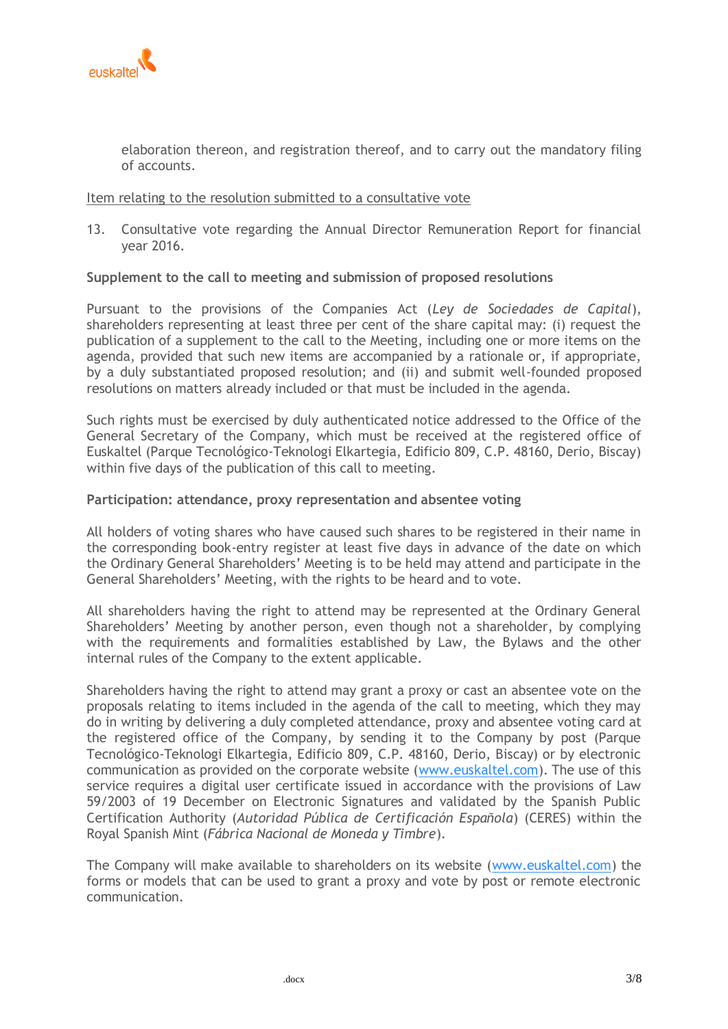

elaboration thereon, and registration thereof, and to carry out the mandatory filing of accounts.

## Item relating to the resolution submitted to a consultative vote

13. Consultative vote regarding the Annual Director Remuneration Report for financial year 2016.

## **Supplement to the call to meeting and submission of proposed resolutions**

Pursuant to the provisions of the Companies Act (*Ley de Sociedades de Capital*), shareholders representing at least three per cent of the share capital may: (i) request the publication of a supplement to the call to the Meeting, including one or more items on the agenda, provided that such new items are accompanied by a rationale or, if appropriate, by a duly substantiated proposed resolution; and (ii) and submit well-founded proposed resolutions on matters already included or that must be included in the agenda.

Such rights must be exercised by duly authenticated notice addressed to the Office of the General Secretary of the Company, which must be received at the registered office of Euskaltel (Parque Tecnológico-Teknologi Elkartegia, Edificio 809, C.P. 48160, Derio, Biscay) within five days of the publication of this call to meeting.

## **Participation: attendance, proxy representation and absentee voting**

All holders of voting shares who have caused such shares to be registered in their name in the corresponding book-entry register at least five days in advance of the date on which the Ordinary General Shareholders' Meeting is to be held may attend and participate in the General Shareholders' Meeting, with the rights to be heard and to vote.

All shareholders having the right to attend may be represented at the Ordinary General Shareholders' Meeting by another person, even though not a shareholder, by complying with the requirements and formalities established by Law, the Bylaws and the other internal rules of the Company to the extent applicable.

Shareholders having the right to attend may grant a proxy or cast an absentee vote on the proposals relating to items included in the agenda of the call to meeting, which they may do in writing by delivering a duly completed attendance, proxy and absentee voting card at the registered office of the Company, by sending it to the Company by post (Parque Tecnológico-Teknologi Elkartegia, Edificio 809, C.P. 48160, Derio, Biscay) or by electronic communication as provided on the corporate website [\(www.euskaltel.com\)](http://www.euskaltel.com/). The use of this service requires a digital user certificate issued in accordance with the provisions of Law 59/2003 of 19 December on Electronic Signatures and validated by the Spanish Public Certification Authority (*Autoridad Pública de Certificación Española*) (CERES) within the Royal Spanish Mint (*Fábrica Nacional de Moneda y Timbre*).

The Company will make available to shareholders on its website [\(www.euskaltel.com\)](http://www.euskaltel.com/) the forms or models that can be used to grant a proxy and vote by post or remote electronic communication.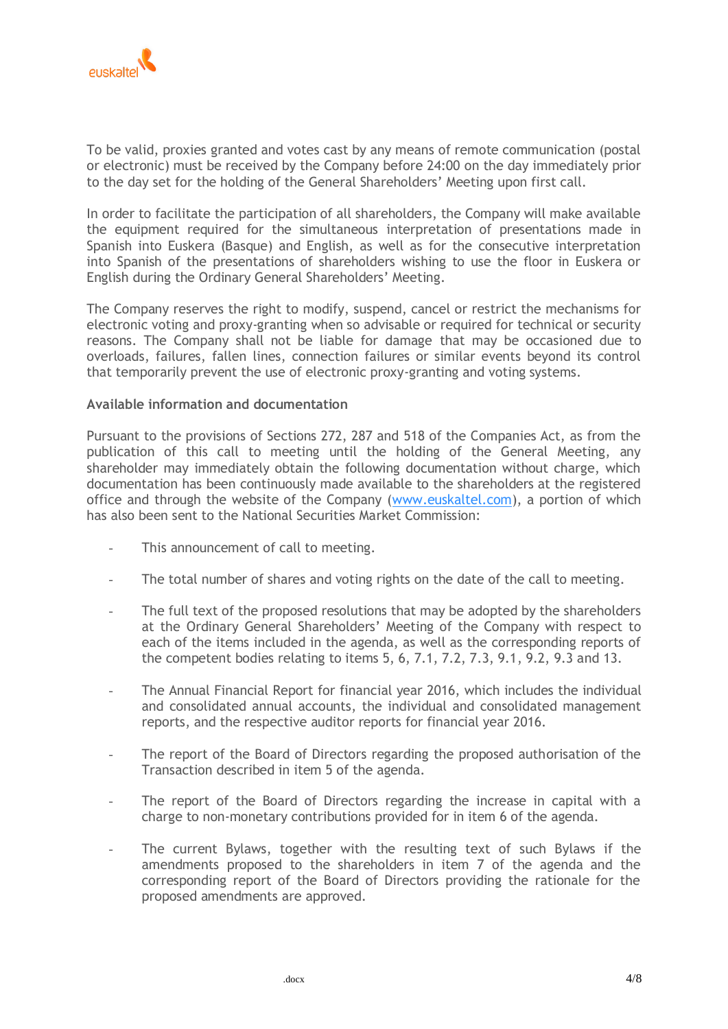

To be valid, proxies granted and votes cast by any means of remote communication (postal or electronic) must be received by the Company before 24:00 on the day immediately prior to the day set for the holding of the General Shareholders' Meeting upon first call.

In order to facilitate the participation of all shareholders, the Company will make available the equipment required for the simultaneous interpretation of presentations made in Spanish into Euskera (Basque) and English, as well as for the consecutive interpretation into Spanish of the presentations of shareholders wishing to use the floor in Euskera or English during the Ordinary General Shareholders' Meeting.

The Company reserves the right to modify, suspend, cancel or restrict the mechanisms for electronic voting and proxy-granting when so advisable or required for technical or security reasons. The Company shall not be liable for damage that may be occasioned due to overloads, failures, fallen lines, connection failures or similar events beyond its control that temporarily prevent the use of electronic proxy-granting and voting systems.

## **Available information and documentation**

Pursuant to the provisions of Sections 272, 287 and 518 of the Companies Act, as from the publication of this call to meeting until the holding of the General Meeting, any shareholder may immediately obtain the following documentation without charge, which documentation has been continuously made available to the shareholders at the registered office and through the website of the Company [\(www.euskaltel.com\)](http://www.euskaltel.com/), a portion of which has also been sent to the National Securities Market Commission:

- This announcement of call to meeting.
- The total number of shares and voting rights on the date of the call to meeting.
- The full text of the proposed resolutions that may be adopted by the shareholders at the Ordinary General Shareholders' Meeting of the Company with respect to each of the items included in the agenda, as well as the corresponding reports of the competent bodies relating to items 5, 6, 7.1, 7.2, 7.3, 9.1, 9.2, 9.3 and 13.
- The Annual Financial Report for financial year 2016, which includes the individual and consolidated annual accounts, the individual and consolidated management reports, and the respective auditor reports for financial year 2016.
- The report of the Board of Directors regarding the proposed authorisation of the Transaction described in item 5 of the agenda.
- The report of the Board of Directors regarding the increase in capital with a charge to non-monetary contributions provided for in item 6 of the agenda.
- The current Bylaws, together with the resulting text of such Bylaws if the amendments proposed to the shareholders in item 7 of the agenda and the corresponding report of the Board of Directors providing the rationale for the proposed amendments are approved.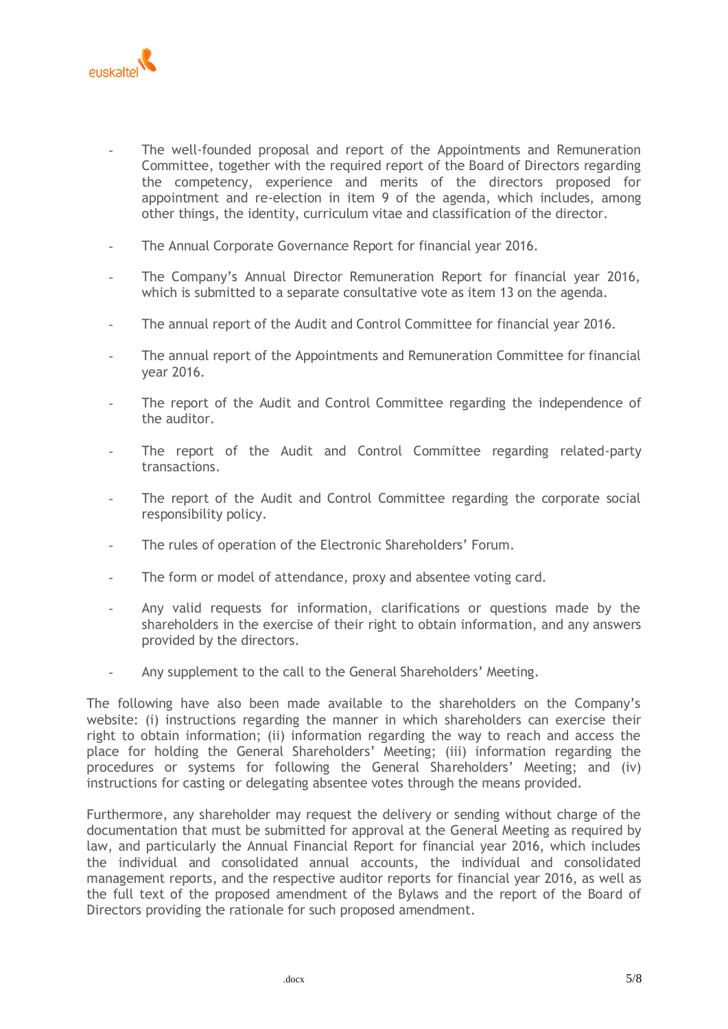

- The well-founded proposal and report of the Appointments and Remuneration Committee, together with the required report of the Board of Directors regarding the competency, experience and merits of the directors proposed for appointment and re-election in item 9 of the agenda, which includes, among other things, the identity, curriculum vitae and classification of the director.
- The Annual Corporate Governance Report for financial year 2016.
- The Company's Annual Director Remuneration Report for financial year 2016, which is submitted to a separate consultative vote as item 13 on the agenda.
- The annual report of the Audit and Control Committee for financial year 2016.
- The annual report of the Appointments and Remuneration Committee for financial year 2016.
- The report of the Audit and Control Committee regarding the independence of the auditor.
- The report of the Audit and Control Committee regarding related-party transactions.
- The report of the Audit and Control Committee regarding the corporate social responsibility policy.
- The rules of operation of the Electronic Shareholders' Forum.
- The form or model of attendance, proxy and absentee voting card.
- Any valid requests for information, clarifications or questions made by the shareholders in the exercise of their right to obtain information, and any answers provided by the directors.
- Any supplement to the call to the General Shareholders' Meeting.

The following have also been made available to the shareholders on the Company's website: (i) instructions regarding the manner in which shareholders can exercise their right to obtain information; (ii) information regarding the way to reach and access the place for holding the General Shareholders' Meeting; (iii) information regarding the procedures or systems for following the General Shareholders' Meeting; and (iv) instructions for casting or delegating absentee votes through the means provided.

Furthermore, any shareholder may request the delivery or sending without charge of the documentation that must be submitted for approval at the General Meeting as required by law, and particularly the Annual Financial Report for financial year 2016, which includes the individual and consolidated annual accounts, the individual and consolidated management reports, and the respective auditor reports for financial year 2016, as well as the full text of the proposed amendment of the Bylaws and the report of the Board of Directors providing the rationale for such proposed amendment.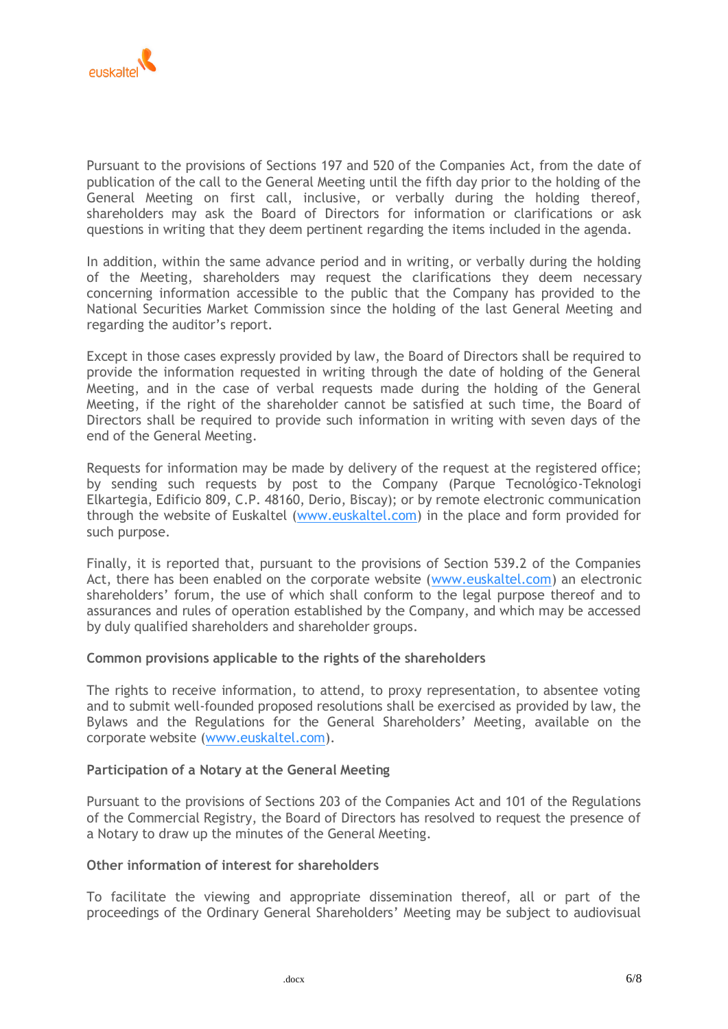

Pursuant to the provisions of Sections 197 and 520 of the Companies Act, from the date of publication of the call to the General Meeting until the fifth day prior to the holding of the General Meeting on first call, inclusive, or verbally during the holding thereof, shareholders may ask the Board of Directors for information or clarifications or ask questions in writing that they deem pertinent regarding the items included in the agenda.

In addition, within the same advance period and in writing, or verbally during the holding of the Meeting, shareholders may request the clarifications they deem necessary concerning information accessible to the public that the Company has provided to the National Securities Market Commission since the holding of the last General Meeting and regarding the auditor's report.

Except in those cases expressly provided by law, the Board of Directors shall be required to provide the information requested in writing through the date of holding of the General Meeting, and in the case of verbal requests made during the holding of the General Meeting, if the right of the shareholder cannot be satisfied at such time, the Board of Directors shall be required to provide such information in writing with seven days of the end of the General Meeting.

Requests for information may be made by delivery of the request at the registered office; by sending such requests by post to the Company (Parque Tecnológico-Teknologi Elkartegia, Edificio 809, C.P. 48160, Derio, Biscay); or by remote electronic communication through the website of Euskaltel [\(www.euskaltel.com\)](http://www.euskaltel.com/) in the place and form provided for such purpose.

Finally, it is reported that, pursuant to the provisions of Section 539.2 of the Companies Act, there has been enabled on the corporate website [\(www.euskaltel.com\)](http://www.euskaltel.com/) an electronic shareholders' forum, the use of which shall conform to the legal purpose thereof and to assurances and rules of operation established by the Company, and which may be accessed by duly qualified shareholders and shareholder groups.

# **Common provisions applicable to the rights of the shareholders**

The rights to receive information, to attend, to proxy representation, to absentee voting and to submit well-founded proposed resolutions shall be exercised as provided by law, the Bylaws and the Regulations for the General Shareholders' Meeting, available on the corporate website [\(www.euskaltel.com\)](http://www.euskaltel.com/).

## **Participation of a Notary at the General Meeting**

Pursuant to the provisions of Sections 203 of the Companies Act and 101 of the Regulations of the Commercial Registry, the Board of Directors has resolved to request the presence of a Notary to draw up the minutes of the General Meeting.

# **Other information of interest for shareholders**

To facilitate the viewing and appropriate dissemination thereof, all or part of the proceedings of the Ordinary General Shareholders' Meeting may be subject to audiovisual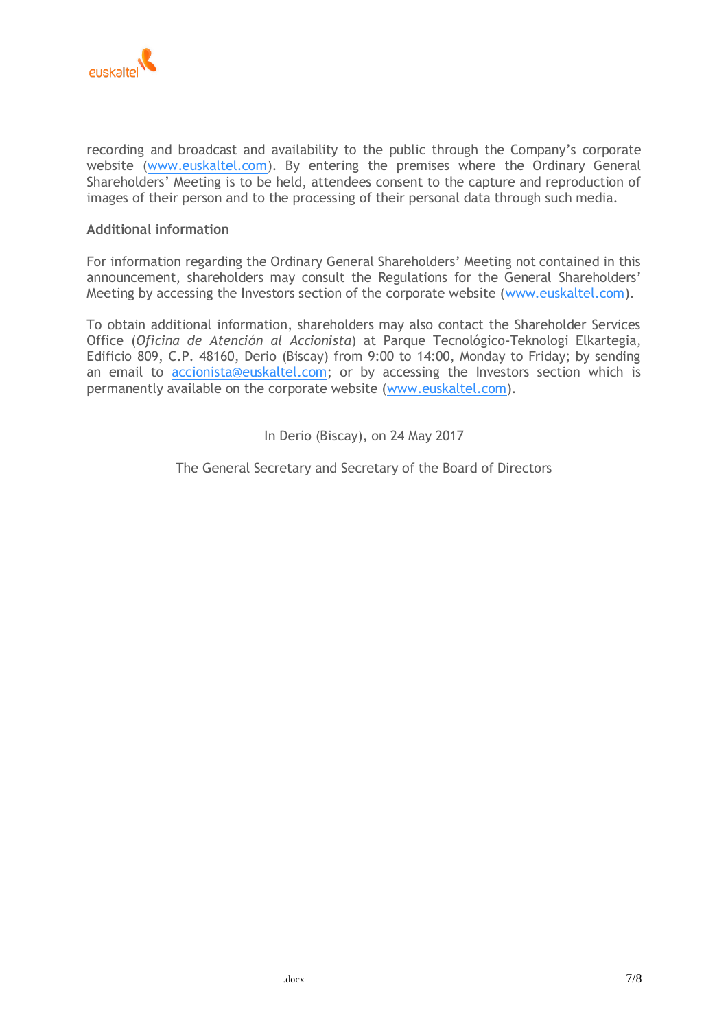

recording and broadcast and availability to the public through the Company's corporate website [\(www.euskaltel.com\)](http://www.euskaltel.com/). By entering the premises where the Ordinary General Shareholders' Meeting is to be held, attendees consent to the capture and reproduction of images of their person and to the processing of their personal data through such media.

## **Additional information**

For information regarding the Ordinary General Shareholders' Meeting not contained in this announcement, shareholders may consult the Regulations for the General Shareholders' Meeting by accessing the Investors section of the corporate website [\(www.euskaltel.com\)](http://www.euskaltel.com/).

To obtain additional information, shareholders may also contact the Shareholder Services Office (*Oficina de Atención al Accionista*) at Parque Tecnológico-Teknologi Elkartegia, Edificio 809, C.P. 48160, Derio (Biscay) from 9:00 to 14:00, Monday to Friday; by sending an email to [accionista@euskaltel.com;](mailto:accionista@euskaltel.com) or by accessing the Investors section which is permanently available on the corporate website [\(www.euskaltel.com\)](http://www.euskaltel.com/).

In Derio (Biscay), on 24 May 2017

The General Secretary and Secretary of the Board of Directors